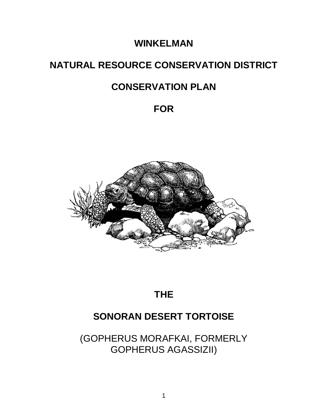# **WINKELMAN**

# **NATURAL RESOURCE CONSERVATION DISTRICT**

# **CONSERVATION PLAN**

# **FOR**



# **THE**

# **SONORAN DESERT TORTOISE**

(GOPHERUS MORAFKAI, FORMERLY GOPHERUS AGASSIZII)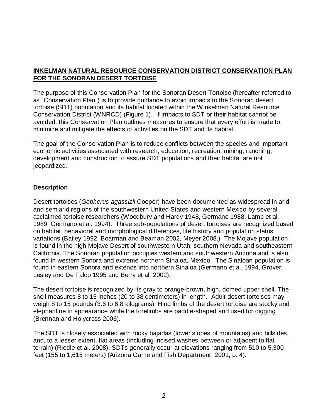### **INKELMAN NATURAL RESOURCE CONSERVATION DISTRICT CONSERVATION PLAN FOR THE SONORAN DESERT TORTOISE**

The purpose of this Conservation Plan for the Sonoran Desert Tortoise (hereafter referred to as "Conservation Plan") is to provide guidance to avoid impacts to the Sonoran desert tortoise (SDT) population and its habitat located within the Winkelman Natural Resource Conservation District (WNRCD) (Figure 1). If impacts to SDT or their habitat cannot be avoided, this Conservation Plan outlines measures to ensure that every effort is made to minimize and mitigate the effects of activities on the SDT and its habitat.

The goal of the Conservation Plan is to reduce conflicts between the species and important economic activities associated with research, education, recreation, mining, ranching, development and construction to assure SDT populations and their habitat are not jeopardized.

#### **Description**

Desert tortoises (*Gopherus agassizii* Cooper) have been documented as widespread in arid and semiarid regions of the southwestern United States and western Mexico by several acclaimed tortoise researchers (Woodbury and Hardy 1948, Germano 1988, Lamb et al. 1989, Germano et al. 1994). Three sub-populations of desert tortoises are recognized based on habitat, behavioral and morphological differences, life history and population status variations (Bailey 1992, Boarman and Beaman 2002, Meyer 2008.) The Mojave population is found in the high Mojave Desert of southwestern Utah, southern Nevada and southeastern California. The Sonoran population occupies western and southwestern Arizona and is also found in western Sonora and extreme northern Sinaloa, Mexico. The Sinaloan population is found in eastern Sonora and extends into northern Sinaloa (Germano et al. 1994, Grover, Lesley and De Falco 1995 and Berry et al. 2002).

The desert tortoise is recognized by its gray to orange-brown, high, domed upper shell. The shell measures 8 to 15 inches (20 to 38 centimeters) in length. Adult desert tortoises may weigh 8 to 15 pounds (3.6 to 6.8 kilograms). Hind limbs of the desert tortoise are stocky and elephantine in appearance while the forelimbs are paddle-shaped and used for digging (Brennan and Holycross 2006).

The SDT is closely associated with rocky bajadas (lower slopes of mountains) and hillsides, and, to a lesser extent, flat areas (including incised washes between or adjacent to flat terrain) (Riedle et al. 2008). SDTs generally occur at elevations ranging from 510 to 5,300 feet (155 to 1,615 meters) (Arizona Game and Fish Department 2001, p. 4).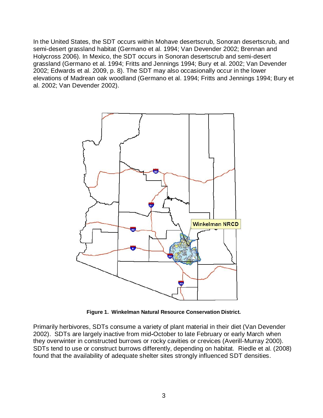In the United States, the SDT occurs within Mohave desertscrub, Sonoran desertscrub, and semi-desert grassland habitat (Germano et al. 1994; Van Devender 2002; Brennan and Holycross 2006). In Mexico, the SDT occurs in Sonoran desertscrub and semi-desert grassland (Germano et al. 1994; Fritts and Jennings 1994; Bury et al. 2002; Van Devender 2002; Edwards et al. 2009, p. 8). The SDT may also occasionally occur in the lower elevations of Madrean oak woodland (Germano et al. 1994; Fritts and Jennings 1994; Bury et al. 2002; Van Devender 2002).



**Figure 1. Winkelman Natural Resource Conservation District.**

Primarily herbivores, SDTs consume a variety of plant material in their diet (Van Devender 2002). SDTs are largely inactive from mid**-**October to late February or early March when they overwinter in constructed burrows or rocky cavities or crevices (Averill-Murray 2000). SDTs tend to use or construct burrows differently, depending on habitat. Riedle et al. (2008) found that the availability of adequate shelter sites strongly influenced SDT densities.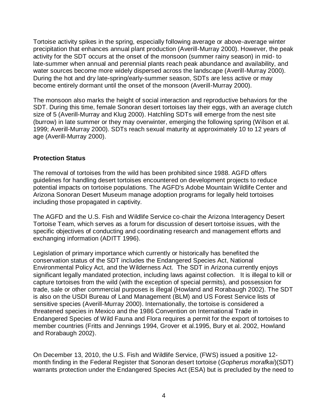Tortoise activity spikes in the spring, especially following average or above-average winter precipitation that enhances annual plant production (Averill-Murray 2000). However, the peak activity for the SDT occurs at the onset of the monsoon (summer rainy season) in mid- to late-summer when annual and perennial plants reach peak abundance and availability, and water sources become more widely dispersed across the landscape (Averill-Murray 2000). During the hot and dry late-spring/early-summer season, SDTs are less active or may become entirely dormant until the onset of the monsoon (Averill-Murray 2000).

The monsoon also marks the height of social interaction and reproductive behaviors for the SDT. During this time, female Sonoran desert tortoises lay their eggs, with an average clutch size of 5 (Averill-Murray and Klug 2000). Hatchling SDTs will emerge from the nest site (burrow) in late summer or they may overwinter, emerging the following spring (Wilson et al. 1999; Averill-Murray 2000). SDTs reach sexual maturity at approximately 10 to 12 years of age (Averill-Murray 2000).

#### **Protection Status**

The removal of tortoises from the wild has been prohibited since 1988. AGFD offers guidelines for handling desert tortoises encountered on development projects to reduce potential impacts on tortoise populations. The AGFD's Adobe Mountain Wildlife Center and Arizona Sonoran Desert Museum manage adoption programs for legally held tortoises including those propagated in captivity.

The AGFD and the U.S. Fish and Wildlife Service co-chair the Arizona Interagency Desert Tortoise Team, which serves as a forum for discussion of desert tortoise issues, with the specific objectives of conducting and coordinating research and management efforts and exchanging information (ADITT 1996).

Legislation of primary importance which currently or historically has benefited the conservation status of the SDT includes the Endangered Species Act, National Environmental Policy Act, and the Wilderness Act. The SDT in Arizona currently enjoys significant legally mandated protection, including laws against collection. It is illegal to kill or capture tortoises from the wild (with the exception of special permits), and possession for trade, sale or other commercial purposes is illegal (Howland and Rorabaugh 2002). The SDT is also on the USDI Bureau of Land Management (BLM) and US Forest Service lists of sensitive species (Averill-Murray 2000). Internationally, the tortoise is considered a threatened species in Mexico and the 1986 Convention on International Trade in Endangered Species of Wild Fauna and Flora requires a permit for the export of tortoises to member countries (Fritts and Jennings 1994, Grover et al.1995, Bury et al. 2002, Howland and Rorabaugh 2002).

On December 13, 2010, the U.S. Fish and Wildlife Service, (FWS) issued a positive 12 month finding in the Federal Register that Sonoran desert tortoise (*Gopherus morafkai*)(SDT) warrants protection under the Endangered Species Act (ESA) but is precluded by the need to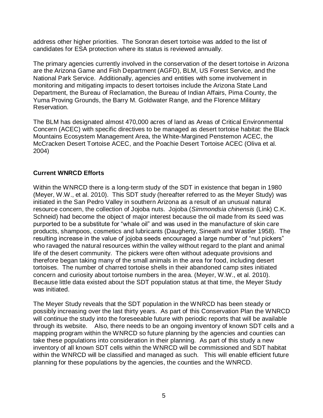address other higher priorities. The Sonoran desert tortoise was added to the list of candidates for ESA protection where its status is reviewed annually.

The primary agencies currently involved in the conservation of the desert tortoise in Arizona are the Arizona Game and Fish Department (AGFD), BLM, US Forest Service, and the National Park Service. Additionally, agencies and entities with some involvement in monitoring and mitigating impacts to desert tortoises include the Arizona State Land Department, the Bureau of Reclamation, the Bureau of Indian Affairs, Pima County, the Yuma Proving Grounds, the Barry M. Goldwater Range, and the Florence Military Reservation.

The BLM has designated almost 470,000 acres of land as Areas of Critical Environmental Concern (ACEC) with specific directives to be managed as desert tortoise habitat: the Black Mountains Ecosystem Management Area, the White-Margined Penstemon ACEC, the McCracken Desert Tortoise ACEC, and the Poachie Desert Tortoise ACEC (Oliva et al. 2004)

#### **Current WNRCD Efforts**

Within the WNRCD there is a long-term study of the SDT in existence that began in 1980 (Meyer, W.W., et al. 2010). This SDT study (hereafter referred to as the Meyer Study) was initiated in the San Pedro Valley in southern Arizona as a result of an unusual natural resource concern, the collection of Jojoba nuts. Jojoba (*Simmondsia chinensis* (Link) C.K. Schneid) had become the object of major interest because the oil made from its seed was purported to be a substitute for "whale oil" and was used in the manufacture of skin care products, shampoos, cosmetics and lubricants (Daugherty, Sineath and Wastler 1958). The resulting increase in the value of jojoba seeds encouraged a large number of "nut pickers" who ravaged the natural resources within the valley without regard to the plant and animal life of the desert community. The pickers were often without adequate provisions and therefore began taking many of the small animals in the area for food, including desert tortoises. The number of charred tortoise shells in their abandoned camp sites initiated concern and curiosity about tortoise numbers in the area. (Meyer, W.W., et al. 2010). Because little data existed about the SDT population status at that time, the Meyer Study was initiated.

The Meyer Study reveals that the SDT population in the WNRCD has been steady or possibly increasing over the last thirty years. As part of this Conservation Plan the WNRCD will continue the study into the foreseeable future with periodic reports that will be available through its website. Also, there needs to be an ongoing inventory of known SDT cells and a mapping program within the WNRCD so future planning by the agencies and counties can take these populations into consideration in their planning. As part of this study a new inventory of all known SDT cells within the WNRCD will be commissioned and SDT habitat within the WNRCD will be classified and managed as such. This will enable efficient future planning for these populations by the agencies, the counties and the WNRCD.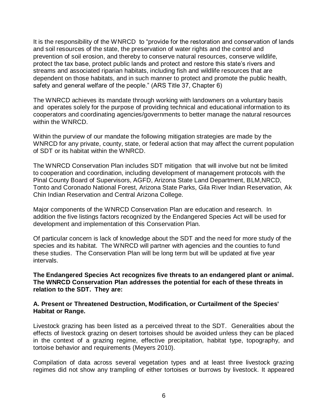It is the responsibility of the WNRCD to "provide for the restoration and conservation of lands and soil resources of the state, the preservation of water rights and the control and prevention of soil erosion, and thereby to conserve natural resources, conserve wildlife, protect the tax base, protect public lands and protect and restore this state's rivers and streams and associated riparian habitats, including fish and wildlife resources that are dependent on those habitats, and in such manner to protect and promote the public health, safety and general welfare of the people." (ARS Title 37, Chapter 6)

The WNRCD achieves its mandate through working with landowners on a voluntary basis and operates solely for the purpose of providing technical and educational information to its cooperators and coordinating agencies/governments to better manage the natural resources within the WNRCD.

Within the purview of our mandate the following mitigation strategies are made by the WNRCD for any private, county, state, or federal action that may affect the current population of SDT or its habitat within the WNRCD.

The WNRCD Conservation Plan includes SDT mitigation that will involve but not be limited to cooperation and coordination, including development of management protocols with the Pinal County Board of Supervisors, AGFD, Arizona State Land Department, BLM,NRCD, Tonto and Coronado National Forest, Arizona State Parks, Gila River Indian Reservation, Ak Chin Indian Reservation and Central Arizona College.

Major components of the WNRCD Conservation Plan are education and research. In addition the five listings factors recognized by the Endangered Species Act will be used for development and implementation of this Conservation Plan.

Of particular concern is lack of knowledge about the SDT and the need for more study of the species and its habitat. The WNRCD will partner with agencies and the counties to fund these studies. The Conservation Plan will be long term but will be updated at five year intervals.

**The Endangered Species Act recognizes five threats to an endangered plant or animal. The WNRCD Conservation Plan addresses the potential for each of these threats in relation to the SDT. They are:**

#### **A. Present or Threatened Destruction, Modification, or Curtailment of the Species' Habitat or Range.**

Livestock grazing has been listed as a perceived threat to the SDT. Generalities about the effects of livestock grazing on desert tortoises should be avoided unless they can be placed in the context of a grazing regime, effective precipitation, habitat type, topography, and tortoise behavior and requirements (Meyers 2010).

Compilation of data across several vegetation types and at least three livestock grazing regimes did not show any trampling of either tortoises or burrows by livestock. It appeared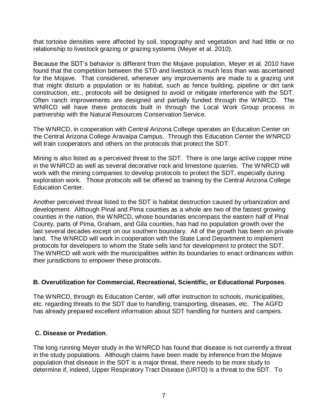that tortoise densities were affected by soil, topography and vegetation and had little or no relationship to livestock grazing or grazing systems (Meyer et al. 2010).

Because the SDT's behavior is different from the Mojave population, Meyer et al. 2010 have found that the competition between the STD and livestock is much less than was ascertained for the Mojave. That considered, whenever any improvements are made to a grazing unit that might disturb a population or its habitat, such as fence building, pipeline or dirt tank construction, etc., protocols will be designed to avoid or mitigate interference with the SDT. Often ranch improvements are designed and partially funded through the WNRCD. The WNRCD will have these protocols built in through the Local Work Group process in partnership with the Natural Resources Conservation Service.

The WNRCD, in cooperation with Central Arizona College operates an Education Center on the Central Arizona College Aravaipa Campus. Through this Education Center the WNRCD will train cooperators and others on the protocols that protect the SDT.

Mining is also listed as a perceived threat to the SDT. There is one large active copper mine in the WNRCD as well as several decorative rock and limestone quarries. The WNRCD will work with the mining companies to develop protocols to protect the SDT, especially during exploration work. Those protocols will be offered as training by the Central Arizona College Education Center.

Another perceived threat listed to the SDT is habitat destruction caused by urbanization and development. Although Pinal and Pima counties as a whole are two of the fastest growing counties in the nation, the WNRCD, whose boundaries encompass the eastern half of Pinal County, parts of Pima, Graham, and Gila counties, has had no population growth over the last several decades except on our southern boundary. All of the growth has been on private land. The WNRCD will work in cooperation with the State Land Department to implement protocols for developers to whom the State sells land for development to protect the SDT. The WNRCD will work with the municipalities within its boundaries to enact ordinances within their jurisdictions to empower these protocols.

#### **B. Overutilization for Commercial, Recreational, Scientific, or Educational Purposes**.

The WNRCD, through its Education Center, will offer instruction to schools, municipalities, etc. regarding threats to the SDT due to handling, transporting, diseases, etc. The AGFD has already prepared excellent information about SDT handling for hunters and campers.

#### **C. Disease or Predation**.

The long running Meyer study in the WNRCD has found that disease is not currently a threat in the study populations. Although claims have been made by inference from the Mojave population that disease in the SDT is a major threat, there needs to be more study to determine if, indeed, Upper Respiratory Tract Disease (URTD) is a threat to the SDT. To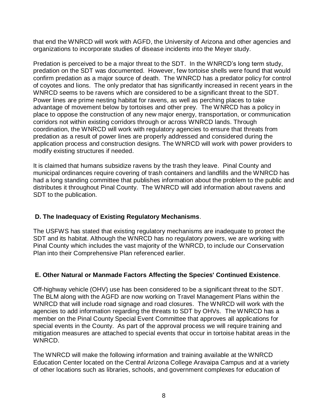that end the WNRCD will work with AGFD, the University of Arizona and other agencies and organizations to incorporate studies of disease incidents into the Meyer study.

Predation is perceived to be a major threat to the SDT. In the WNRCD's long term study, predation on the SDT was documented. However, few tortoise shells were found that would confirm predation as a major source of death. The WNRCD has a predator policy for control of coyotes and lions. The only predator that has significantly increased in recent years in the WNRCD seems to be ravens which are considered to be a significant threat to the SDT. Power lines are prime nesting habitat for ravens, as well as perching places to take advantage of movement below by tortoises and other prey. The WNRCD has a policy in place to oppose the construction of any new major energy, transportation, or communication corridors not within existing corridors through or across WNRCD lands. Through coordination, the WNRCD will work with regulatory agencies to ensure that threats from predation as a result of power lines are properly addressed and considered during the application process and construction designs. The WNRCD will work with power providers to modify existing structures if needed.

It is claimed that humans subsidize ravens by the trash they leave. Pinal County and municipal ordinances require covering of trash containers and landfills and the WNRCD has had a long standing committee that publishes information about the problem to the public and distributes it throughout Pinal County. The WNRCD will add information about ravens and SDT to the publication.

# **D. The Inadequacy of Existing Regulatory Mechanisms**.

The USFWS has stated that existing regulatory mechanisms are inadequate to protect the SDT and its habitat. Although the WNRCD has no regulatory powers, we are working with Pinal County which includes the vast majority of the WNRCD, to include our Conservation Plan into their Comprehensive Plan referenced earlier.

#### **E. Other Natural or Manmade Factors Affecting the Species' Continued Existence**.

Off-highway vehicle (OHV) use has been considered to be a significant threat to the SDT. The BLM along with the AGFD are now working on Travel Management Plans within the WNRCD that will include road signage and road closures. The WNRCD will work with the agencies to add information regarding the threats to SDT by OHVs. The WNRCD has a member on the Pinal County Special Event Committee that approves all applications for special events in the County. As part of the approval process we will require training and mitigation measures are attached to special events that occur in tortoise habitat areas in the WNRCD.

The WNRCD will make the following information and training available at the WNRCD Education Center located on the Central Arizona College Aravaipa Campus and at a variety of other locations such as libraries, schools, and government complexes for education of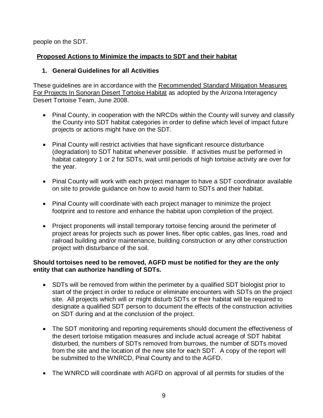people on the SDT.

### **Proposed Actions to Minimize the impacts to SDT and their habitat**

### **1. General Guidelines for all Activities**

These guidelines are in accordance with the Recommended Standard Mitigation Measures For Projects In Sonoran Desert Tortoise Habitat as adopted by the Arizona Interagency Desert Tortoise Team, June 2008.

- Pinal County, in cooperation with the NRCDs within the County will survey and classify the County into SDT habitat categories in order to define which level of impact future projects or actions might have on the SDT.
- Pinal County will restrict activities that have significant resource disturbance (degradation) to SDT habitat whenever possible. If activities must be performed in habitat category 1 or 2 for SDTs, wait until periods of high tortoise activity are over for the year.
- Pinal County will work with each project manager to have a SDT coordinator available on site to provide guidance on how to avoid harm to SDTs and their habitat.
- Pinal County will coordinate with each project manager to minimize the project footprint and to restore and enhance the habitat upon completion of the project.
- Project proponents will install temporary tortoise fencing around the perimeter of project areas for projects such as power lines, fiber optic cables, gas lines, road and railroad building and/or maintenance, building construction or any other construction project with disturbance of the soil.

#### **Should tortoises need to be removed, AGFD must be notified for they are the only entity that can authorize handling of SDTs.**

- SDTs will be removed from within the perimeter by a qualified SDT biologist prior to start of the project in order to reduce or eliminate encounters with SDTs on the project site. All projects which will or might disturb SDTs or their habitat will be required to designate a qualified SDT person to document the effects of the construction activities on SDT during and at the conclusion of the project.
- The SDT monitoring and reporting requirements should document the effectiveness of the desert tortoise mitigation measures and include actual acreage of SDT habitat disturbed, the numbers of SDTs removed from burrows, the number of SDTs moved from the site and the location of the new site for each SDT. A copy of the report will be submitted to the WNRCD, Pinal County and to the AGFD.
- The WNRCD will coordinate with AGFD on approval of all permits for studies of the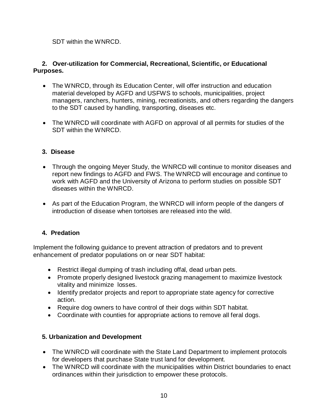SDT within the WNRCD.

### **2. Over-utilization for Commercial, Recreational, Scientific, or Educational Purposes.**

- The WNRCD, through its Education Center, will offer instruction and education material developed by AGFD and USFWS to schools, municipalities, project managers, ranchers, hunters, mining, recreationists, and others regarding the dangers to the SDT caused by handling, transporting, diseases etc.
- The WNRCD will coordinate with AGFD on approval of all permits for studies of the SDT within the WNRCD.

# **3. Disease**

- Through the ongoing Meyer Study, the WNRCD will continue to monitor diseases and report new findings to AGFD and FWS. The WNRCD will encourage and continue to work with AGFD and the University of Arizona to perform studies on possible SDT diseases within the WNRCD.
- As part of the Education Program, the WNRCD will inform people of the dangers of introduction of disease when tortoises are released into the wild.

#### **4. Predation**

Implement the following guidance to prevent attraction of predators and to prevent enhancement of predator populations on or near SDT habitat:

- Restrict illegal dumping of trash including offal, dead urban pets.
- Promote properly designed livestock grazing management to maximize livestock vitality and minimize losses.
- Identify predator projects and report to appropriate state agency for corrective action.
- Require dog owners to have control of their dogs within SDT habitat.
- Coordinate with counties for appropriate actions to remove all feral dogs.

# **5. Urbanization and Development**

- The WNRCD will coordinate with the State Land Department to implement protocols for developers that purchase State trust land for development.
- The WNRCD will coordinate with the municipalities within District boundaries to enact ordinances within their jurisdiction to empower these protocols.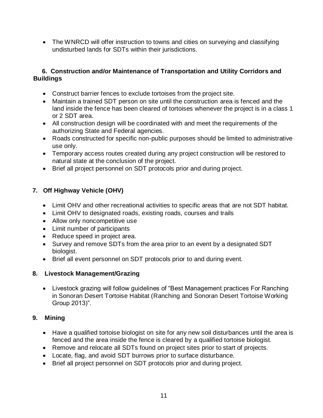• The WNRCD will offer instruction to towns and cities on surveying and classifying undisturbed lands for SDTs within their jurisdictions.

### **6. Construction and/or Maintenance of Transportation and Utility Corridors and Buildings**

- Construct barrier fences to exclude tortoises from the project site.
- Maintain a trained SDT person on site until the construction area is fenced and the land inside the fence has been cleared of tortoises whenever the project is in a class 1 or 2 SDT area.
- All construction design will be coordinated with and meet the requirements of the authorizing State and Federal agencies.
- Roads constructed for specific non-public purposes should be limited to administrative use only.
- Temporary access routes created during any project construction will be restored to natural state at the conclusion of the project.
- Brief all project personnel on SDT protocols prior and during project.

# **7. Off Highway Vehicle (OHV)**

- Limit OHV and other recreational activities to specific areas that are not SDT habitat.
- Limit OHV to designated roads, existing roads, courses and trails
- Allow only noncompetitive use
- Limit number of participants
- Reduce speed in project area.
- Survey and remove SDTs from the area prior to an event by a designated SDT biologist.
- Brief all event personnel on SDT protocols prior to and during event.

#### **8. Livestock Management/Grazing**

 Livestock grazing will follow guidelines of "Best Management practices For Ranching in Sonoran Desert Tortoise Habitat (Ranching and Sonoran Desert Tortoise Working Group 2013)".

# **9. Mining**

- Have a qualified tortoise biologist on site for any new soil disturbances until the area is fenced and the area inside the fence is cleared by a qualified tortoise biologist.
- Remove and relocate all SDTs found on project sites prior to start of projects.
- Locate, flag, and avoid SDT burrows prior to surface disturbance.
- Brief all project personnel on SDT protocols prior and during project.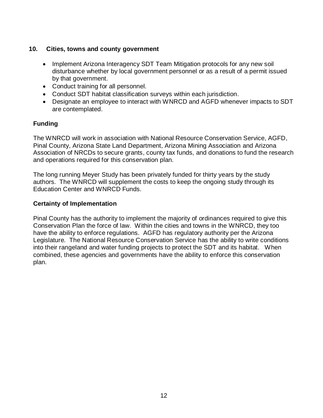#### **10. Cities, towns and county government**

- Implement Arizona Interagency SDT Team Mitigation protocols for any new soil disturbance whether by local government personnel or as a result of a permit issued by that government.
- Conduct training for all personnel.
- Conduct SDT habitat classification surveys within each jurisdiction.
- Designate an employee to interact with WNRCD and AGFD whenever impacts to SDT are contemplated.

#### **Funding**

The WNRCD will work in association with National Resource Conservation Service, AGFD, Pinal County, Arizona State Land Department, Arizona Mining Association and Arizona Association of NRCDs to secure grants, county tax funds, and donations to fund the research and operations required for this conservation plan.

The long running Meyer Study has been privately funded for thirty years by the study authors. The WNRCD will supplement the costs to keep the ongoing study through its Education Center and WNRCD Funds.

#### **Certainty of Implementation**

Pinal County has the authority to implement the majority of ordinances required to give this Conservation Plan the force of law. Within the cities and towns in the WNRCD, they too have the ability to enforce regulations. AGFD has regulatory authority per the Arizona Legislature. The National Resource Conservation Service has the ability to write conditions into their rangeland and water funding projects to protect the SDT and its habitat. When combined, these agencies and governments have the ability to enforce this conservation plan.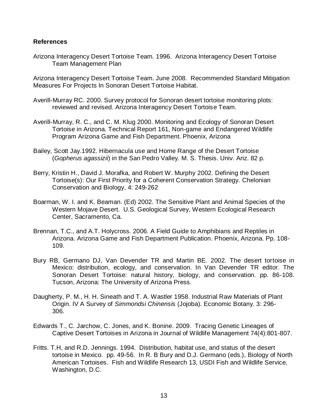#### **References**

Arizona Interagency Desert Tortoise Team. 1996. Arizona Interagency Desert Tortoise Team Management Plan

Arizona Interagency Desert Tortoise Team. June 2008. Recommended Standard Mitigation Measures For Projects In Sonoran Desert Tortoise Habitat.

- Averill-Murray RC. 2000. Survey protocol for Sonoran desert tortoise monitoring plots: reviewed and revised. Arizona Interagency Desert Tortoise Team.
- Averill-Murray, R. C., and C. M. Klug 2000. Monitoring and Ecology of Sonoran Desert Tortoise in Arizona. Technical Report 161, Non-game and Endangered Wildlife Program Arizona Game and Fish Department. Phoenix, Arizona
- Bailey, Scott Jay.1992. Hibernacula use and Home Range of the Desert Tortoise (*Gopherus agassizii*) in the San Pedro Valley. M. S. Thesis. Univ. Ariz. 82 p.
- Berry, Kristin H., David J. Morafka, and Robert W. Murphy 2002. Defining the Desert Tortoise(s): Our First Priority for a Coherent Conservation Strategy. Chelonian Conservation and Biology, 4: 249-262
- Boarman, W. I. and K. Beaman. (Ed) 2002. The Sensitive Plant and Animal Species of the Western Mojave Desert. U.S. Geological Survey, Western Ecological Research Center, Sacramento, Ca.
- Brennan, T.C., and A.T. Holycross. 2006. A Field Guide to Amphibians and Reptiles in Arizona. Arizona Game and Fish Department Publication. Phoenix, Arizona. Pp. 108- 109.
- Bury RB, Germano DJ, Van Devender TR and Martin BE. 2002. The desert tortoise in Mexico: distribution, ecology, and conservation. In Van Devender TR editor. The Sonoran Desert Tortoise: natural history, biology, and conservation. pp. 86-108. Tucson, Arizona: The University of Arizona Press.
- Daugherty, P. M., H. H. Sineath and T. A. Wastler 1958. Industrial Raw Materials of Plant Origin. IV A Survey of *Simmondsi Chinensis* (Jojoba). Economic Botany. 3: 296- 306.
- Edwards T., C. Jarchow, C. Jones, and K. Bonine. 2009. Tracing Genetic Lineages of Captive Desert Tortoises in Arizona in Journal of Wildlife Management 74(4):801-807.
- Fritts. T.H, and R.D. Jennings. 1994. Distribution, habitat use, and status of the desert tortoise in Mexico. pp. 49-56. In R. B Bury and D.J. Germano (eds.), Biology of North American Tortoises. Fish and Wildlife Research 13, USDI Fish and Wildlife Service, Washington, D.C.